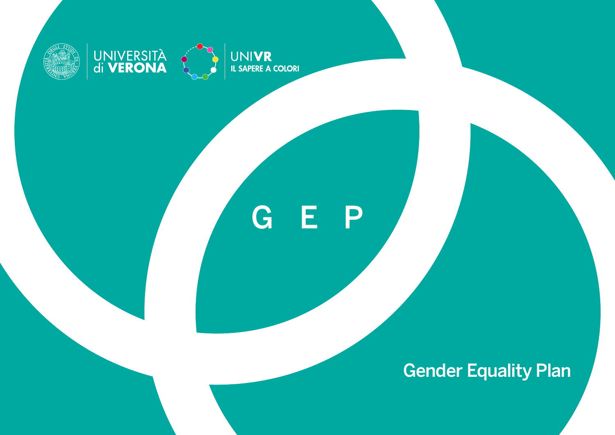

UNI**VR**<br>il sapere a colori

# GEP

2022 © **UNIVR** | Gender Equality Plan 1

# Gender Equality Plan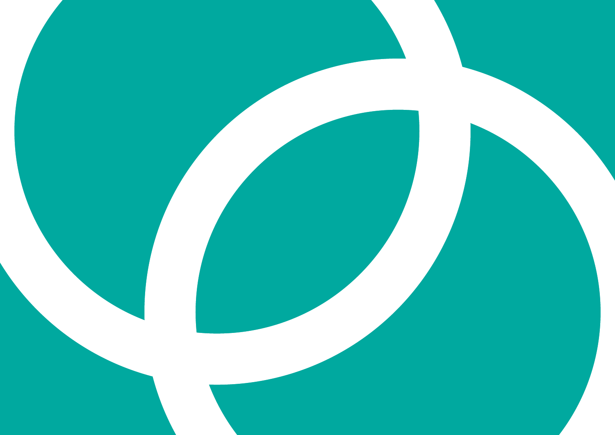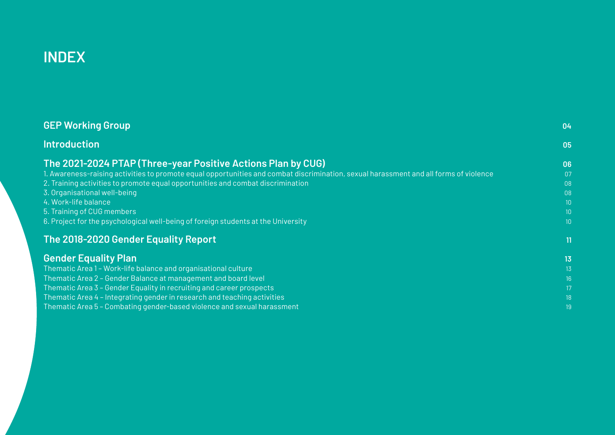# **INDEX**

| <b>GEP Working Group</b>                                                                                                              | 04 |
|---------------------------------------------------------------------------------------------------------------------------------------|----|
| <b>Introduction</b>                                                                                                                   | 05 |
| The 2021-2024 PTAP (Three-year Positive Actions Plan by CUG)                                                                          | 06 |
| 1. Awareness-raising activities to promote equal opportunities and combat discrimination, sexual harassment and all forms of violence | 07 |
| 2. Training activities to promote equal opportunities and combat discrimination                                                       | 08 |
| 3. Organisational well-being                                                                                                          | 08 |
| 4. Work-life balance                                                                                                                  | 10 |
| 5. Training of CUG members                                                                                                            | 10 |
| 6. Project for the psychological well-being of foreign students at the University                                                     | 10 |
| The 2018-2020 Gender Equality Report                                                                                                  | 11 |
| <b>Gender Equality Plan</b>                                                                                                           | 13 |
| Thematic Area 1 - Work-life balance and organisational culture                                                                        | 13 |
| Thematic Area 2 - Gender Balance at management and board level                                                                        | 16 |
| Thematic Area $3$ – Gender Equality in recruiting and career prospects                                                                | 17 |
| Thematic Area 4 - Integrating gender in research and teaching activities                                                              | 18 |
| Thematic Area 5 - Combating gender-based violence and sexual harassment                                                               | 19 |
|                                                                                                                                       |    |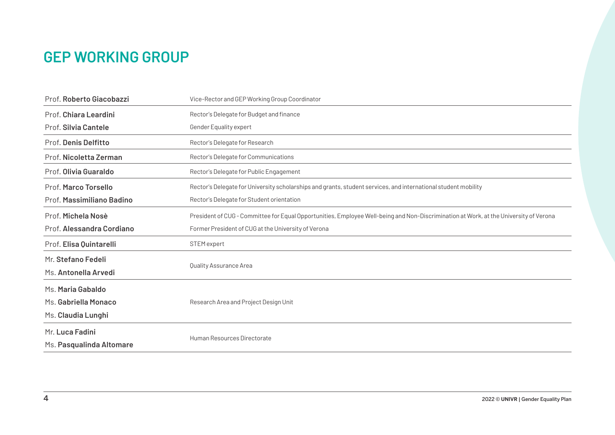# **GEP WORKING GROUP**

| Prof. Roberto Giacobazzi  | Vice-Rector and GEP Working Group Coordinator                                                                                         |
|---------------------------|---------------------------------------------------------------------------------------------------------------------------------------|
| Prof. Chiara Leardini     | Rector's Delegate for Budget and finance                                                                                              |
| Prof. Silvia Cantele      | Gender Equality expert                                                                                                                |
| Prof. Denis Delfitto      | Rector's Delegate for Research                                                                                                        |
| Prof. Nicoletta Zerman    | Rector's Delegate for Communications                                                                                                  |
| Prof. Olivia Guaraldo     | Rector's Delegate for Public Engagement                                                                                               |
| Prof. Marco Torsello      | Rector's Delegate for University scholarships and grants, student services, and international student mobility                        |
| Prof. Massimiliano Badino | Rector's Delegate for Student orientation                                                                                             |
| Prof. Michela Nosè        | President of CUG - Committee for Equal Opportunities, Employee Well-being and Non-Discrimination at Work, at the University of Verona |
| Prof. Alessandra Cordiano | Former President of CUG at the University of Verona                                                                                   |
| Prof. Elisa Quintarelli   | STEM expert                                                                                                                           |
| Mr. Stefano Fedeli        |                                                                                                                                       |
| Ms. Antonella Arvedi      | Quality Assurance Area                                                                                                                |
| Ms. Maria Gabaldo         |                                                                                                                                       |
| Ms. Gabriella Monaco      | Research Area and Project Design Unit                                                                                                 |
| Ms. Claudia Lunghi        |                                                                                                                                       |
| Mr. Luca Fadini           |                                                                                                                                       |
| Ms. Pasqualinda Altomare  | Human Resources Directorate                                                                                                           |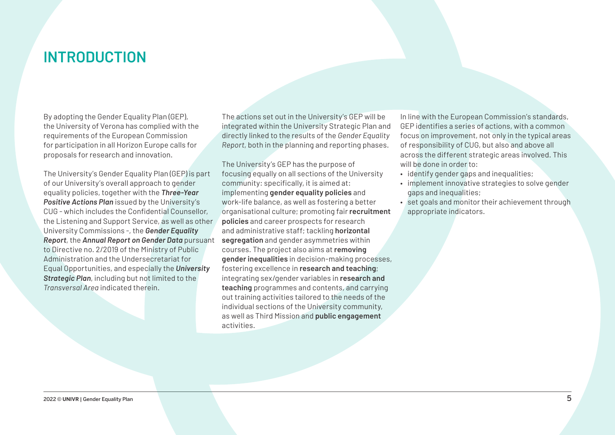# **INTRODUCTION**

By adopting the Gender Equality Plan (GEP), the University of Verona has complied with the requirements of the European Commission for participation in all Horizon Europe calls for proposals for research and innovation.

The University's Gender Equality Plan (GEP) is part of our University's overall approach to gender equality policies, together with the *Three-Year Positive Actions Plan* issued by the University's CUG - which includes the Confidential Counsellor, the Listening and Support Service, as well as other University Commissions -, the *Gender Equality Report*, the *Annual Report on Gender Data* pursuant to Directive no. 2/2019 of the Ministry of Public Administration and the Undersecretariat for Equal Opportunities, and especially the *University Strategic Plan*, including but not limited to the *Transversal Area* indicated therein.

The actions set out in the University's GEP will be integrated within the University Strategic Plan and directly linked to the results of the *Gender Equality Report*, both in the planning and reporting phases.

The University's GEP has the purpose of focusing equally on all sections of the University community: specifically, it is aimed at: implementing **gender equality policies** and work-life balance, as well as fostering a better organisational culture; promoting fair **recruitment policies** and career prospects for research and administrative staff; tackling **horizontal segregation** and gender asymmetries within courses. The project also aims at **removing gender inequalities** in decision-making processes, fostering excellence in **research and teaching**; integrating sex/gender variables in **research and teaching** programmes and contents, and carrying out training activities tailored to the needs of the individual sections of the University community, as well as Third Mission and **public engagement** activities.

In line with the European Commission's standards, GEP identifies a series of actions, with a common focus on improvement, not only in the typical areas of responsibility of CUG, but also and above all across the different strategic areas involved. This will be done in order to:

- identify gender gaps and inequalities;
- implement innovative strategies to solve gender gaps and inequalities;
- set goals and monitor their achievement through appropriate indicators.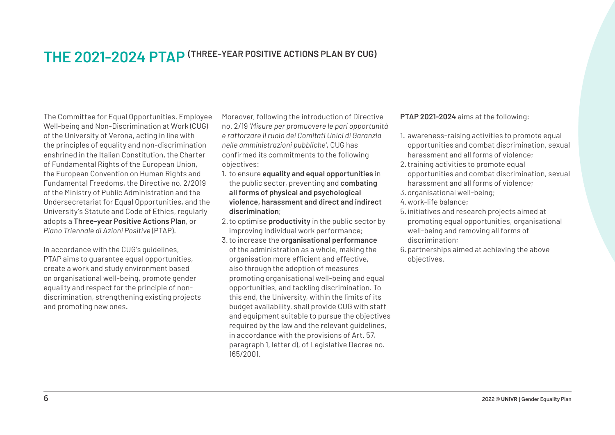## **THE 2021-2024 PTAP (THREE-YEAR POSITIVE ACTIONS PLAN BY CUG)**

The Committee for Equal Opportunities, Employee Well-being and Non-Discrimination at Work (CUG) of the University of Verona, acting in line with the principles of equality and non-discrimination enshrined in the Italian Constitution, the Charter of Fundamental Rights of the European Union, the European Convention on Human Rights and Fundamental Freedoms, the Directive no. 2/2019 of the Ministry of Public Administration and the Undersecretariat for Equal Opportunities, and the University's Statute and Code of Ethics, regularly adopts a **Three-year Positive Actions Plan**, or *Piano Triennale di Azioni Positive* (PTAP).

In accordance with the CUG's guidelines, PTAP aims to guarantee equal opportunities, create a work and study environment based on organisational well-being, promote gender equality and respect for the principle of nondiscrimination, strengthening existing projects and promoting new ones.

Moreover, following the introduction of Directive no. 2/19 *'Misure per promuovere le pari opportunità e rafforzare il ruolo dei Comitati Unici di Garanzia nelle amministrazioni pubbliche'*, CUG has confirmed its commitments to the following objectives:

- 1. to ensure **equality and equal opportunities** in the public sector, preventing and **combating all forms of physical and psychological violence, harassment and direct and indirect discrimination**;
- 2.to optimise **productivity** in the public sector by improving individual work performance;
- 3.to increase the **organisational performance** of the administration as a whole, making the organisation more efficient and effective, also through the adoption of measures promoting organisational well-being and equal opportunities, and tackling discrimination. To this end, the University, within the limits of its budget availability, shall provide CUG with staff and equipment suitable to pursue the objectives required by the law and the relevant guidelines, in accordance with the provisions of Art. 57, paragraph 1, letter d), of Legislative Decree no. 165/2001.

#### **PTAP 2021-2024** aims at the following:

- 1. awareness-raising activities to promote equal opportunities and combat discrimination, sexual harassment and all forms of violence;
- 2.training activities to promote equal opportunities and combat discrimination, sexual harassment and all forms of violence;
- 3. organisational well-being;
- 4.work-life balance;
- 5. initiatives and research projects aimed at promoting equal opportunities, organisational well-being and removing all forms of discrimination;
- 6. partnerships aimed at achieving the above objectives.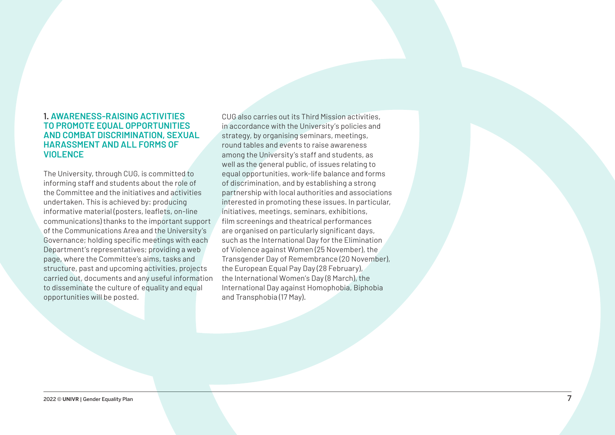#### **1. AWARENESS-RAISING ACTIVITIES TO PROMOTE EQUAL OPPORTUNITIES AND COMBAT DISCRIMINATION, SEXUAL HARASSMENT AND ALL FORMS OF VIOLENCE**

The University, through CUG, is committed to informing staff and students about the role of the Committee and the initiatives and activities undertaken. This is achieved by: producing informative material (posters, leaflets, on-line communications) thanks to the important support of the Communications Area and the University's Governance; holding specific meetings with each Department's representatives; providing a web page, where the Committee's aims, tasks and structure, past and upcoming activities, projects carried out, documents and any useful information to disseminate the culture of equality and equal opportunities will be posted.

CUG also carries out its Third Mission activities, in accordance with the University's policies and strategy, by organising seminars, meetings, round tables and events to raise awareness among the University's staff and students, as well as the general public, of issues relating to equal opportunities, work-life balance and forms of discrimination, and by establishing a strong partnership with local authorities and associations interested in promoting these issues. In particular, initiatives, meetings, seminars, exhibitions, film screenings and theatrical performances are organised on particularly significant days, such as the International Day for the Elimination of Violence against Women (25 November), the Transgender Day of Remembrance (20 November), the European Equal Pay Day (28 February), the International Women's Day (8 March), the International Day against Homophobia, Biphobia and Transphobia (17 May).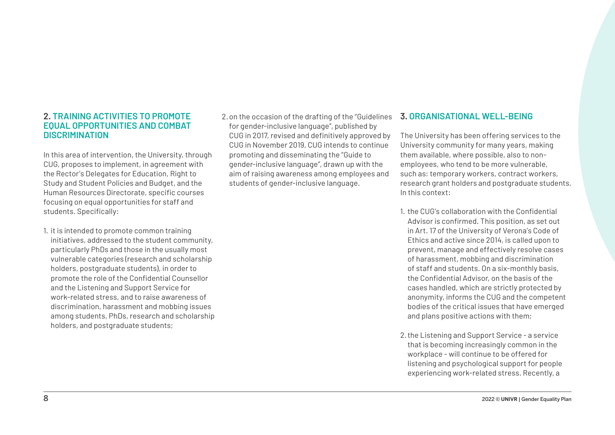#### **2. TRAINING ACTIVITIES TO PROMOTE EQUAL OPPORTUNITIES AND COMBAT DISCRIMINATION**

In this area of intervention, the University, through CUG, proposes to implement, in agreement with the Rector's Delegates for Education, Right to Study and Student Policies and Budget, and the Human Resources Directorate, specific courses focusing on equal opportunities for staff and students. Specifically:

1. it is intended to promote common training initiatives, addressed to the student community, particularly PhDs and those in the usually most vulnerable categories (research and scholarship holders, postgraduate students), in order to promote the role of the Confidential Counsellor and the Listening and Support Service for work-related stress, and to raise awareness of discrimination, harassment and mobbing issues among students, PhDs, research and scholarship holders, and postgraduate students;

2.on the occasion of the drafting of the "Guidelines for gender-inclusive language", published by CUG in 2017, revised and definitively approved by CUG in November 2019, CUG intends to continue promoting and disseminating the "Guide to gender-inclusive language", drawn up with the aim of raising awareness among employees and students of gender-inclusive language.

#### **3. ORGANISATIONAL WELL-BEING**

The University has been offering services to the University community for many years, making them available, where possible, also to nonemployees, who tend to be more vulnerable, such as: temporary workers, contract workers, research grant holders and postgraduate students. In this context:

- 1. the CUG's collaboration with the Confidential Advisor is confirmed. This position, as set out in Art. 17 of the University of Verona's Code of Ethics and active since 2014, is called upon to prevent, manage and effectively resolve cases of harassment, mobbing and discrimination of staff and students. On a six-monthly basis, the Confidential Advisor, on the basis of the cases handled, which are strictly protected by anonymity, informs the CUG and the competent bodies of the critical issues that have emerged and plans positive actions with them;
- 2.the Listening and Support Service a service that is becoming increasingly common in the workplace - will continue to be offered for listening and psychological support for people experiencing work-related stress. Recently, a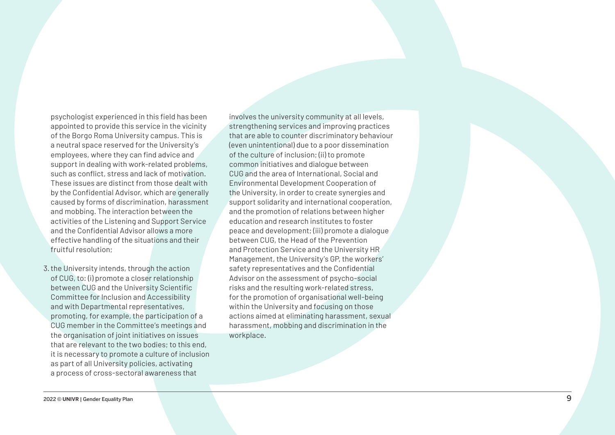psychologist experienced in this field has been appointed to provide this service in the vicinity of the Borgo Roma University campus. This is a neutral space reserved for the University's employees, where they can find advice and support in dealing with work-related problems, such as conflict, stress and lack of motivation. These issues are distinct from those dealt with by the Confidential Advisor, which are generally caused by forms of discrimination, harassment and mobbing. The interaction between the activities of the Listening and Support Service and the Confidential Advisor allows a more effective handling of the situations and their fruitful resolution;

3.the University intends, through the action of CUG, to: (i) promote a closer relationship between CUG and the University Scientific Committee for Inclusion and Accessibility and with Departmental representatives, promoting, for example, the participation of a CUG member in the Committee's meetings and the organisation of joint initiatives on issues that are relevant to the two bodies; to this end, it is necessary to promote a culture of inclusion as part of all University policies, activating a process of cross-sectoral awareness that

involves the university community at all levels, strengthening services and improving practices that are able to counter discriminatory behaviour (even unintentional) due to a poor dissemination of the culture of inclusion; (ii) to promote common initiatives and dialogue between CUG and the area of International, Social and Environmental Development Cooperation of the University, in order to create synergies and support solidarity and international cooperation, and the promotion of relations between higher education and research institutes to foster peace and development; (iii) promote a dialogue between CUG, the Head of the Prevention and Protection Service and the University HR Management, the University's GP, the workers' safety representatives and the Confidential Advisor on the assessment of psycho-social risks and the resulting work-related stress, for the promotion of organisational well-being within the University and focusing on those actions aimed at eliminating harassment, sexual harassment, mobbing and discrimination in the workplace.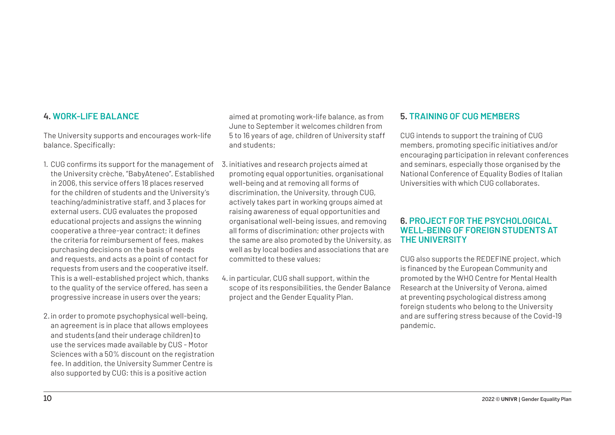#### **4. WORK-LIFE BALANCE**

The University supports and encourages work-life balance. Specifically:

- 1. CUG confirms its support for the management of the University crèche, "BabyAteneo". Established in 2006, this service offers 18 places reserved for the children of students and the University's teaching/administrative staff, and 3 places for external users. CUG evaluates the proposed educational projects and assigns the winning cooperative a three-year contract; it defines the criteria for reimbursement of fees, makes purchasing decisions on the basis of needs and requests, and acts as a point of contact for requests from users and the cooperative itself. This is a well-established project which, thanks to the quality of the service offered, has seen a progressive increase in users over the years;
- 2.in order to promote psychophysical well-being, an agreement is in place that allows employees and students (and their underage children) to use the services made available by CUS - Motor Sciences with a 50% discount on the registration fee. In addition, the University Summer Centre is also supported by CUG: this is a positive action

aimed at promoting work-life balance, as from June to September it welcomes children from 5 to 16 years of age, children of University staff and students;

- 3. initiatives and research projects aimed at promoting equal opportunities, organisational well-being and at removing all forms of discrimination, the University, through CUG, actively takes part in working groups aimed at raising awareness of equal opportunities and organisational well-being issues, and removing all forms of discrimination; other projects with the same are also promoted by the University, as well as by local bodies and associations that are committed to these values;
- 4.in particular, CUG shall support, within the scope of its responsibilities, the Gender Balance project and the Gender Equality Plan.

#### **5. TRAINING OF CUG MEMBERS**

CUG intends to support the training of CUG members, promoting specific initiatives and/or encouraging participation in relevant conferences and seminars, especially those organised by the National Conference of Equality Bodies of Italian Universities with which CUG collaborates.

#### **6. PROJECT FOR THE PSYCHOLOGICAL WELL-BEING OF FOREIGN STUDENTS AT THE UNIVERSITY**

CUG also supports the REDEFINE project, which is financed by the European Community and promoted by the WHO Centre for Mental Health Research at the University of Verona, aimed at preventing psychological distress among foreign students who belong to the University and are suffering stress because of the Covid-19 pandemic.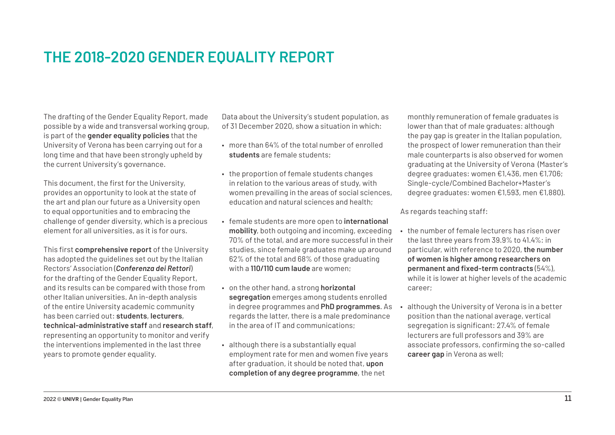# **THE 2018-2020 GENDER EQUALITY REPORT**

The drafting of the Gender Equality Report, made possible by a wide and transversal working group, is part of the **gender equality policies** that the University of Verona has been carrying out for a long time and that have been strongly upheld by the current University's governance.

This document, the first for the University, provides an opportunity to look at the state of the art and plan our future as a University open to equal opportunities and to embracing the challenge of gender diversity, which is a precious element for all universities, as it is for ours.

This first **comprehensive report** of the University has adopted the guidelines set out by the Italian Rectors' Association (*Conferenza dei Rettori*) for the drafting of the Gender Equality Report, and its results can be compared with those from other Italian universities. An in-depth analysis of the entire University academic community has been carried out: **students**, **lecturers**, **technical-administrative staff** and **research staff**, representing an opportunity to monitor and verify the interventions implemented in the last three years to promote gender equality.

Data about the University's student population, as of 31 December 2020, show a situation in which:

- more than 64% of the total number of enrolled **students** are female students;
- the proportion of female students changes in relation to the various areas of study, with women prevailing in the areas of social sciences, education and natural sciences and health;
- female students are more open to **international mobility**, both outgoing and incoming, exceeding 70% of the total, and are more successful in their studies, since female graduates make up around 62% of the total and 68% of those graduating with a **110/110 cum laude** are women;
- on the other hand, a strong **horizontal segregation** emerges among students enrolled in degree programmes and **PhD programmes**. As regards the latter, there is a male predominance in the area of IT and communications;
- although there is a substantially equal employment rate for men and women five years after graduation, it should be noted that, **upon completion of any degree programme**, the net

monthly remuneration of female graduates is lower than that of male graduates: although the pay gap is greater in the Italian population, the prospect of lower remuneration than their male counterparts is also observed for women graduating at the University of Verona (Master's degree graduates: women €1,436, men €1,706; Single-cycle/Combined Bachelor+Master's degree graduates: women €1,593, men €1,880).

As regards teaching staff:

- the number of female lecturers has risen over the last three years from 39.9% to 41.4%: in particular, with reference to 2020, **the number of women is higher among researchers on permanent and fixed-term contracts** (54%), while it is lower at higher levels of the academic career;
- although the University of Verona is in a better position than the national average, vertical segregation is significant: 27.4% of female lecturers are full professors and 39% are associate professors, confirming the so-called **career gap** in Verona as well;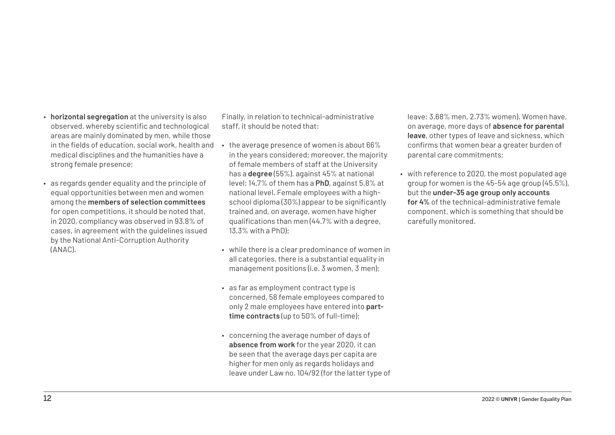- **horizontal segregation** at the university is also observed, whereby scientific and technological areas are mainly dominated by men, while those in the fields of education, social work, health and medical disciplines and the humanities have a strong female presence;
- as regards gender equality and the principle of equal opportunities between men and women among the **members of selection committees**  for open competitions, it should be noted that, in 2020, compliancy was observed in 93.8% of cases, in agreement with the guidelines issued by the National Anti-Corruption Authority (ANAC).

Finally, in relation to technical-administrative staff, it should be noted that:

- the average presence of women is about 66% in the years considered; moreover, the majority of female members of staff at the University has a **degree** (55%), against 45% at national level; 14.7% of them has a **PhD**, against 5.8% at national level. Female employees with a highschool diploma (30%) appear to be significantly trained and, on average, women have higher qualifications than men (44.7% with a degree, 13.3% with a PhD);
- while there is a clear predominance of women in all categories, there is a substantial equality in management positions (i.e. 3 women, 3 men);
- as far as employment contract type is concerned, 58 female employees compared to only 2 male employees have entered into **parttime contracts** (up to 50% of full-time);
- concerning the average number of days of **absence from work** for the year 2020, it can be seen that the average days per capita are higher for men only as regards holidays and leave under Law no. 104/92 (for the latter type of

leave: 3.68% men, 2.73% women). Women have, on average, more days of **absence for parental leave**, other types of leave and sickness, which confirms that women bear a greater burden of parental care commitments;

• with reference to 2020, the most populated age group for women is the 45-54 age group (45.5%), but the **under-35 age group only accounts for 4%** of the technical-administrative female component, which is something that should be carefully monitored.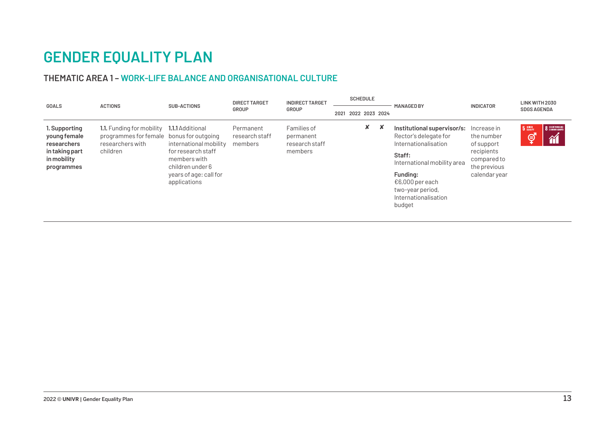# **GENDER EQUALITY PLAN**

### **THEMATIC AREA 1 – WORK-LIFE BALANCE AND ORGANISATIONAL CULTURE**

|                                                                                             |                                                                                                              |                                                                                                                                                       | <b>SCHEDULE</b><br><b>DIRECT TARGET</b><br><b>INDIRECT TARGET</b><br>LINK WITH 2030<br><b>INDICATOR</b><br><b>MANAGED BY</b><br><b>SDGS AGENDA</b><br><b>GROUP</b><br>GROUP<br>2021 2022 2023 2024<br>X.<br>$\boldsymbol{\mathsf{x}}$<br>5 GENDER<br>Institutional supervisor/s: Increase in<br><b>Families of</b><br>Permanent<br><b>ම්</b><br>Rector's delegate for<br>research staff<br>the number<br>permanent<br>Internationalisation<br>research staff<br>of support<br>members<br>recipients<br>members<br>Staff:<br>compared to<br>International mobility area<br>the previous<br>calendar year<br>Funding:<br>€6,000 per each<br>two-year period,<br>Internationalisation |  |  |  |  |        |  |                                      |
|---------------------------------------------------------------------------------------------|--------------------------------------------------------------------------------------------------------------|-------------------------------------------------------------------------------------------------------------------------------------------------------|------------------------------------------------------------------------------------------------------------------------------------------------------------------------------------------------------------------------------------------------------------------------------------------------------------------------------------------------------------------------------------------------------------------------------------------------------------------------------------------------------------------------------------------------------------------------------------------------------------------------------------------------------------------------------------|--|--|--|--|--------|--|--------------------------------------|
| GOALS                                                                                       | <b>ACTIONS</b>                                                                                               | SUB-ACTIONS                                                                                                                                           |                                                                                                                                                                                                                                                                                                                                                                                                                                                                                                                                                                                                                                                                                    |  |  |  |  |        |  |                                      |
| 1. Supporting<br>young female<br>researchers<br>in taking part<br>in mobility<br>programmes | <b>1.1.</b> Funding for mobility<br>programmes for female bonus for outgoing<br>researchers with<br>children | <b>1.1.1</b> Additional<br>international mobility<br>for research staff<br>members with<br>children under 6<br>years of age: call for<br>applications |                                                                                                                                                                                                                                                                                                                                                                                                                                                                                                                                                                                                                                                                                    |  |  |  |  | budget |  | <b>8 DECENT WORK AND</b><br>$\gamma$ |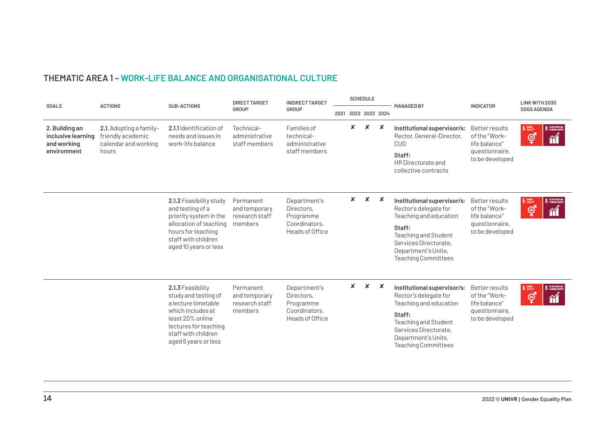| GOALS                                                              | <b>ACTIONS</b>                                                                       | SUB-ACTIONS                                                                                                                                                                       | <b>DIRECT TARGET</b><br>GROUP                           | <b>INDIRECT TARGET</b><br>GROUP                                             | <b>SCHEDULE</b> |                           |                  |                     | <b>MANAGED BY</b>                                                                                                                                                                              | <b>INDICATOR</b>                                                                             | LINK WITH 2030                                         |
|--------------------------------------------------------------------|--------------------------------------------------------------------------------------|-----------------------------------------------------------------------------------------------------------------------------------------------------------------------------------|---------------------------------------------------------|-----------------------------------------------------------------------------|-----------------|---------------------------|------------------|---------------------|------------------------------------------------------------------------------------------------------------------------------------------------------------------------------------------------|----------------------------------------------------------------------------------------------|--------------------------------------------------------|
|                                                                    |                                                                                      |                                                                                                                                                                                   |                                                         |                                                                             |                 |                           |                  | 2021 2022 2023 2024 |                                                                                                                                                                                                |                                                                                              | <b>SDGS AGENDA</b>                                     |
| 2. Building an<br>inclusive learning<br>and working<br>environment | <b>2.1.</b> Adopting a family-<br>friendly academic<br>calendar and working<br>hours | 2.1.1 Identification of<br>needs and issues in<br>work-life balance                                                                                                               | Technical-<br>administrative<br>staff members           | Families of<br>technical-<br>administrative<br>staff members                |                 | x                         | ×                | X                   | Institutional supervisor/s:<br>Rector, General-Director,<br><b>CUG</b><br>Staff:<br>HR Directorate and<br>collective contracts                                                                 | <b>Better results</b><br>of the "Work-<br>life balance"<br>questionnaire,<br>to be developed | 5 GENDER<br><b>8</b> DECENT WORK AND<br>ල්<br>简        |
|                                                                    |                                                                                      | 2.1.2 Feasibility study<br>and testing of a<br>priority system in the<br>allocation of teaching<br>hours for teaching<br>staff with children<br>aged 10 years or less             | Permanent<br>and temporary<br>research staff<br>members | Department's<br>Directors,<br>Programme<br>Coordinators,<br>Heads of Office |                 | x                         | $\boldsymbol{x}$ | x                   | Institutional supervisor/s:<br>Rector's delegate for<br>Teaching and education<br>Staff:<br>Teaching and Student<br>Services Directorate,<br>Department's Units,<br><b>Teaching Committees</b> | <b>Better results</b><br>of the "Work-<br>life balance"<br>questionnaire,<br>to be developed | 5 GENDER<br><b>8</b> DECENT WORK AND<br>ල්<br>$\gamma$ |
|                                                                    |                                                                                      | 2.1.3 Feasibility<br>study and testing of<br>a lecture timetable<br>which includes at<br>least 20% online<br>lectures for teaching<br>staff with children<br>aged 6 years or less | Permanent<br>and temporary<br>research staff<br>members | Department's<br>Directors,<br>Programme<br>Coordinators,<br>Heads of Office |                 | $\boldsymbol{\mathsf{x}}$ | $\boldsymbol{x}$ | X                   | Institutional supervisor/s:<br>Rector's delegate for<br>Teaching and education<br>Staff:<br>Teaching and Student<br>Services Directorate,<br>Department's Units,<br><b>Teaching Committees</b> | <b>Better results</b><br>of the "Work-<br>life balance"<br>questionnaire,<br>to be developed | 5 GENDER<br><b>8</b> DECENT WORK AND<br>ල්<br><b>M</b> |

### **THEMATIC AREA 1 – WORK-LIFE BALANCE AND ORGANISATIONAL CULTURE**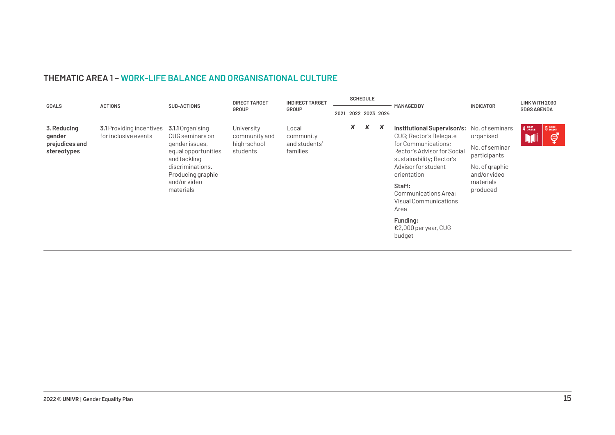| GOALS                                                  | <b>ACTIONS</b>                                          | SUB-ACTIONS                                                                                                                                                        | <b>DIRECT TARGET</b><br>GROUP                          | <b>INDIRECT TARGET</b><br>GROUP                 | <b>SCHEDULE</b> |                           |                     | <b>MANAGED BY</b>                                                                                                                                                                                                                                                                                                     | <b>INDICATOR</b>                                                                                       | LINK WITH 2030              |  |
|--------------------------------------------------------|---------------------------------------------------------|--------------------------------------------------------------------------------------------------------------------------------------------------------------------|--------------------------------------------------------|-------------------------------------------------|-----------------|---------------------------|---------------------|-----------------------------------------------------------------------------------------------------------------------------------------------------------------------------------------------------------------------------------------------------------------------------------------------------------------------|--------------------------------------------------------------------------------------------------------|-----------------------------|--|
|                                                        |                                                         |                                                                                                                                                                    |                                                        |                                                 |                 |                           | 2021 2022 2023 2024 |                                                                                                                                                                                                                                                                                                                       |                                                                                                        | <b>SDGS AGENDA</b>          |  |
| 3. Reducing<br>gender<br>prejudices and<br>stereotypes | <b>3.1</b> Providing incentives<br>for inclusive events | 3.1.1 Organising<br>CUG seminars on<br>gender issues,<br>equal opportunities<br>and tackling<br>discriminations.<br>Producing graphic<br>and/or video<br>materials | University<br>community and<br>high-school<br>students | Local<br>community<br>and students'<br>families | X.              | $\boldsymbol{\mathsf{x}}$ | X                   | <b>Institutional Supervisor/s:</b> No. of seminars<br>CUG; Rector's Delegate<br>for Communications:<br>Rector's Advisor for Social<br>sustainability; Rector's<br>Advisor for student<br>orientation<br>Staff:<br>Communications Area:<br>Visual Communications<br>Area<br>Funding:<br>€2,000 per year, CUG<br>budget | organised<br>No. of seminar<br>participants<br>No. of graphic<br>and/or video<br>materials<br>produced | 5 GENDER<br>4 QUALITY<br>ල් |  |

### **THEMATIC AREA 1 – WORK-LIFE BALANCE AND ORGANISATIONAL CULTURE**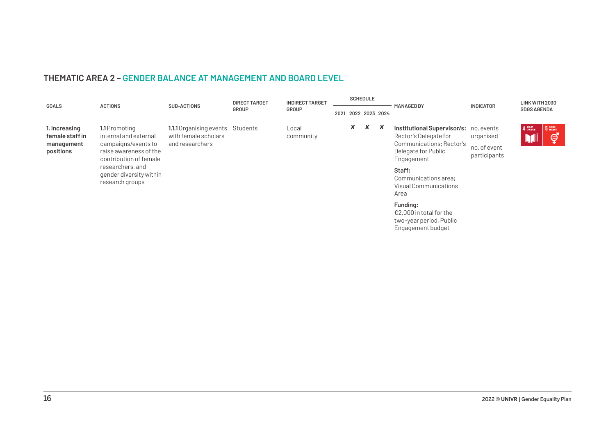| GOALS                                                       | <b>ACTIONS</b>                                                                                                                                                                      | <b>SUB-ACTIONS</b>                                                          | <b>DIRECT TARGET</b><br><b>GROUP</b> | <b>INDIRECT TARGET</b><br>GROUP | <b>SCHEDULE</b>  |                  |                     | <b>MANAGED BY</b>                                                                                                                                                                                                                                                                          | <b>INDICATOR</b>                          | LINK WITH 2030              |  |
|-------------------------------------------------------------|-------------------------------------------------------------------------------------------------------------------------------------------------------------------------------------|-----------------------------------------------------------------------------|--------------------------------------|---------------------------------|------------------|------------------|---------------------|--------------------------------------------------------------------------------------------------------------------------------------------------------------------------------------------------------------------------------------------------------------------------------------------|-------------------------------------------|-----------------------------|--|
|                                                             |                                                                                                                                                                                     |                                                                             |                                      |                                 |                  |                  | 2021 2022 2023 2024 |                                                                                                                                                                                                                                                                                            |                                           | <b>SDGS AGENDA</b>          |  |
| 1. Increasing<br>female staff in<br>management<br>positions | 1.1 Promoting<br>internal and external<br>campaigns/events to<br>raise awareness of the<br>contribution of female<br>researchers, and<br>gender diversity within<br>research groups | 1.1.1 Organising events Students<br>with female scholars<br>and researchers |                                      | Local<br>community              | $\boldsymbol{x}$ | $\boldsymbol{x}$ | $\mathbf{x}$        | Institutional Supervisor/s: no. events<br>Rector's Delegate for<br>Communications; Rector's<br>Delegate for Public<br>Engagement<br>Staff:<br>Communications area:<br>Visual Communications<br>Area<br>Funding:<br>€2,000 in total for the<br>two-year period, Public<br>Engagement budget | organised<br>no. of event<br>participants | 5 GENDER<br>4 QUALITY<br>ල් |  |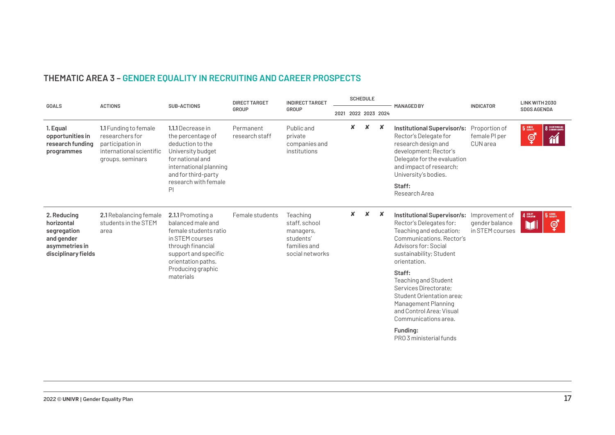### **THEMATIC AREA 3 – GENDER EQUALITY IN RECRUITING AND CAREER PROSPECTS**

| GOALS                                                                                           | <b>ACTIONS</b>                                                                                               | SUB-ACTIONS                                                                                                                                                                             | <b>DIRECT TARGET</b><br>GROUP | <b>INDIRECT TARGET</b><br>GROUP                                                        | <b>SCHEDULE</b> |                           |   | <b>MANAGED BY</b>                                                                                                                                                                                                                                                                                                                                                                                 | <b>INDICATOR</b>                                    | LINK WITH 2030                                                               |
|-------------------------------------------------------------------------------------------------|--------------------------------------------------------------------------------------------------------------|-----------------------------------------------------------------------------------------------------------------------------------------------------------------------------------------|-------------------------------|----------------------------------------------------------------------------------------|-----------------|---------------------------|---|---------------------------------------------------------------------------------------------------------------------------------------------------------------------------------------------------------------------------------------------------------------------------------------------------------------------------------------------------------------------------------------------------|-----------------------------------------------------|------------------------------------------------------------------------------|
|                                                                                                 |                                                                                                              |                                                                                                                                                                                         |                               |                                                                                        |                 | 2021 2022 2023 2024       |   |                                                                                                                                                                                                                                                                                                                                                                                                   |                                                     | <b>SDGS AGENDA</b>                                                           |
| 1. Equal<br>opportunities in<br>research funding<br>programmes                                  | 1.1 Funding to female<br>researchers for<br>participation in<br>international scientific<br>groups, seminars | 1.1.1 Decrease in<br>the percentage of<br>deduction to the<br>University budget<br>for national and<br>international planning<br>and for third-party<br>research with female<br>PI      | Permanent<br>research staff   | Public and<br>private<br>companies and<br>institutions                                 | x               | $\boldsymbol{\mathsf{x}}$ | X | Institutional Supervisor/s:<br>Rector's Delegate for<br>research design and<br>development; Rector's<br>Delegate for the evaluation<br>and impact of research;<br>University's bodies.<br>Staff:<br>Research Area                                                                                                                                                                                 | Proportion of<br>female PI per<br>CUN area          | 5 GENDER<br><b>8</b> DECENT WORK AND<br>$\overline{\mathcal{Q}}$<br>$\gamma$ |
| 2. Reducing<br>horizontal<br>segregation<br>and gender<br>asymmetries in<br>disciplinary fields | 2.1 Rebalancing female<br>students in the STEM<br>area                                                       | 2.1.1 Promoting a<br>balanced male and<br>female students ratio<br>in STEM courses<br>through financial<br>support and specific<br>orientation paths.<br>Producing graphic<br>materials | Female students               | Teaching<br>staff, school<br>managers,<br>students'<br>families and<br>social networks | x               | ×                         | X | Institutional Supervisor/s:<br>Rector's Delegates for:<br>Teaching and education;<br>Communications, Rector's<br>Advisors for: Social<br>sustainability; Student<br>orientation.<br>Staff:<br><b>Teaching and Student</b><br>Services Directorate:<br>Student Orientation area:<br>Management Planning<br>and Control Area: Visual<br>Communications area.<br>Funding:<br>PRO 3 ministerial funds | Improvement of<br>gender balance<br>in STEM courses | 4 QUALITY<br>5 GENDER<br>ල්                                                  |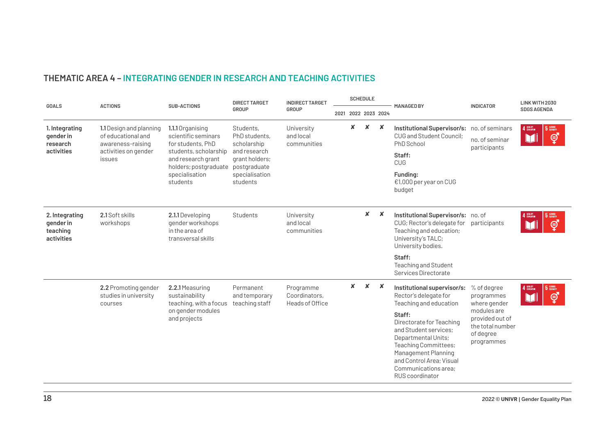### **THEMATIC AREA 4 – INTEGRATING GENDER IN RESEARCH AND TEACHING ACTIVITIES**

| GOALS                                                 | <b>ACTIONS</b>                                                                                       | SUB-ACTIONS                                                                                                                                                        | <b>DIRECT TARGET</b><br>GROUP                                                                                             | <b>INDIRECT TARGET</b><br>GROUP               | <b>SCHEDULE</b> |   |   |                           | <b>MANAGED BY</b>                                                                                                                                                                                                                                                                                 | <b>INDICATOR</b>                                                                                                           | LINK WITH 2030                    |
|-------------------------------------------------------|------------------------------------------------------------------------------------------------------|--------------------------------------------------------------------------------------------------------------------------------------------------------------------|---------------------------------------------------------------------------------------------------------------------------|-----------------------------------------------|-----------------|---|---|---------------------------|---------------------------------------------------------------------------------------------------------------------------------------------------------------------------------------------------------------------------------------------------------------------------------------------------|----------------------------------------------------------------------------------------------------------------------------|-----------------------------------|
|                                                       |                                                                                                      |                                                                                                                                                                    |                                                                                                                           |                                               |                 |   |   | 2021 2022 2023 2024       |                                                                                                                                                                                                                                                                                                   |                                                                                                                            | <b>SDGS AGENDA</b>                |
| 1. Integrating<br>gender in<br>research<br>activities | 1.1 Design and planning<br>of educational and<br>awareness-raising<br>activities on gender<br>issues | 1.1.1 Organising<br>scientific seminars<br>for students, PhD<br>students, scholarship<br>and research grant<br>holders; postgraduate<br>specialisation<br>students | Students,<br>PhD students,<br>scholarship<br>and research<br>grant holders;<br>postgraduate<br>specialisation<br>students | University<br>and local<br>communities        |                 | x | X | X                         | Institutional Supervisor/s: no. of seminars<br><b>CUG and Student Council:</b><br>PhD School<br>Staff:<br>CUG<br>Funding:<br>€1,000 per year on CUG<br>budget                                                                                                                                     | no. of seminar<br>participants                                                                                             | 4 QUALITY<br>5 GENDER<br>ම        |
| 2. Integrating<br>gender in<br>teaching<br>activities | 2.1 Soft skills<br>workshops                                                                         | 2.1.1 Developing<br>gender workshops<br>in the area of<br>transversal skills                                                                                       | Students                                                                                                                  | University<br>and local<br>communities        |                 |   | x | $\boldsymbol{\mathsf{x}}$ | Institutional Supervisor/s: no. of<br>CUG; Rector's delegate for<br>Teaching and education;<br>University's TALC;<br>University bodies.<br>Staff:<br>Teaching and Student<br>Services Directorate                                                                                                 | participants                                                                                                               | 5 GENDER<br>⊜                     |
|                                                       | 2.2 Promoting gender<br>studies in university<br>courses                                             | 2.2.1 Measuring<br>sustainability<br>teaching, with a focus<br>on gender modules<br>and projects                                                                   | Permanent<br>and temporary<br>teaching staff                                                                              | Programme<br>Coordinators,<br>Heads of Office |                 | × | x | X                         | Institutional supervisor/s:<br>Rector's delegate for<br>Teaching and education<br>Staff:<br>Directorate for Teaching<br>and Student services:<br>Departmental Units;<br><b>Teaching Committees;</b><br>Management Planning<br>and Control Area; Visual<br>Communications area:<br>RUS coordinator | % of degree<br>programmes<br>where gender<br>modules are<br>provided out of<br>the total number<br>of degree<br>programmes | <b>5</b> GENDER<br>4 QUALITY<br>⊜ |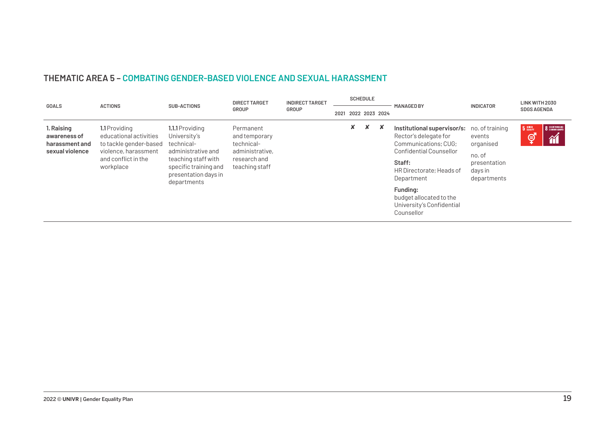### **THEMATIC AREA 5 – COMBATING GENDER-BASED VIOLENCE AND SEXUAL HARASSMENT**

| GOALS                                                           | <b>ACTIONS</b>                                                                                                                | SUB-ACTIONS                                                                                                                                                | DIRECT TARGET<br><b>GROUP</b>                                                                 | <b>INDIRECT TARGET</b><br><b>GROUP</b> | <b>SCHEDULE</b> |   |                     | MANAGED BY                                                                                                                                                                                                                                    | <b>INDICATOR</b>                                                                           | LINK WITH 2030                                               |  |
|-----------------------------------------------------------------|-------------------------------------------------------------------------------------------------------------------------------|------------------------------------------------------------------------------------------------------------------------------------------------------------|-----------------------------------------------------------------------------------------------|----------------------------------------|-----------------|---|---------------------|-----------------------------------------------------------------------------------------------------------------------------------------------------------------------------------------------------------------------------------------------|--------------------------------------------------------------------------------------------|--------------------------------------------------------------|--|
|                                                                 |                                                                                                                               |                                                                                                                                                            |                                                                                               |                                        |                 |   | 2021 2022 2023 2024 |                                                                                                                                                                                                                                               |                                                                                            | <b>SDGS AGENDA</b>                                           |  |
| 1. Raising<br>awareness of<br>harassment and<br>sexual violence | 1.1 Providing<br>educational activities<br>to tackle gender-based<br>violence, harassment<br>and conflict in the<br>workplace | 1.1.1 Providing<br>University's<br>technical-<br>administrative and<br>teaching staff with<br>specific training and<br>presentation days in<br>departments | Permanent<br>and temporary<br>technical-<br>administrative,<br>research and<br>teaching staff |                                        | x.              | X |                     | Institutional supervisor/s:<br>Rector's delegate for<br>Communications: CUG:<br>Confidential Counsellor<br>Staff:<br>HR Directorate; Heads of<br>Department<br>Funding:<br>budget allocated to the<br>University's Confidential<br>Counsellor | no. of training<br>events<br>organised<br>no. of<br>presentation<br>days in<br>departments | 5 GENDER<br><b>8</b> DECENT WORK AND<br><b>B</b><br>$\gamma$ |  |